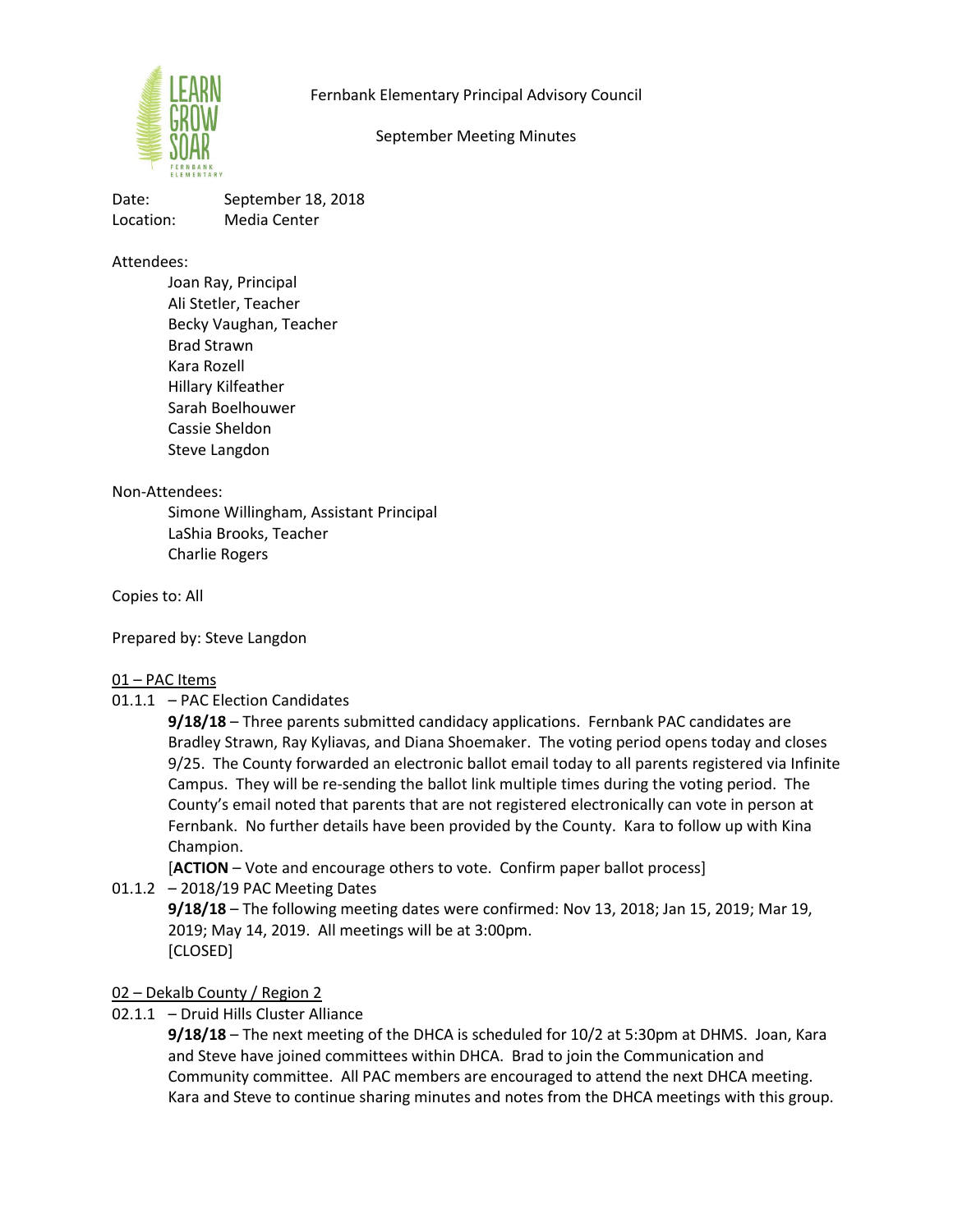Fernbank Elementary Principal Advisory Council



September Meeting Minutes

Date: September 18, 2018 Location: Media Center

Attendees:

Joan Ray, Principal Ali Stetler, Teacher Becky Vaughan, Teacher Brad Strawn Kara Rozell Hillary Kilfeather Sarah Boelhouwer Cassie Sheldon Steve Langdon

# Non-Attendees:

Simone Willingham, Assistant Principal LaShia Brooks, Teacher Charlie Rogers

Copies to: All

Prepared by: Steve Langdon

# 01 – PAC Items

01.1.1 – PAC Election Candidates

**9/18/18** – Three parents submitted candidacy applications. Fernbank PAC candidates are Bradley Strawn, Ray Kyliavas, and Diana Shoemaker. The voting period opens today and closes 9/25. The County forwarded an electronic ballot email today to all parents registered via Infinite Campus. They will be re-sending the ballot link multiple times during the voting period. The County's email noted that parents that are not registered electronically can vote in person at Fernbank. No further details have been provided by the County. Kara to follow up with Kina Champion.

[**ACTION** – Vote and encourage others to vote. Confirm paper ballot process]

01.1.2 – 2018/19 PAC Meeting Dates **9/18/18** – The following meeting dates were confirmed: Nov 13, 2018; Jan 15, 2019; Mar 19, 2019; May 14, 2019. All meetings will be at 3:00pm. [CLOSED]

# 02 – Dekalb County / Region 2

02.1.1 – Druid Hills Cluster Alliance

**9/18/18** – The next meeting of the DHCA is scheduled for 10/2 at 5:30pm at DHMS. Joan, Kara and Steve have joined committees within DHCA. Brad to join the Communication and Community committee. All PAC members are encouraged to attend the next DHCA meeting. Kara and Steve to continue sharing minutes and notes from the DHCA meetings with this group.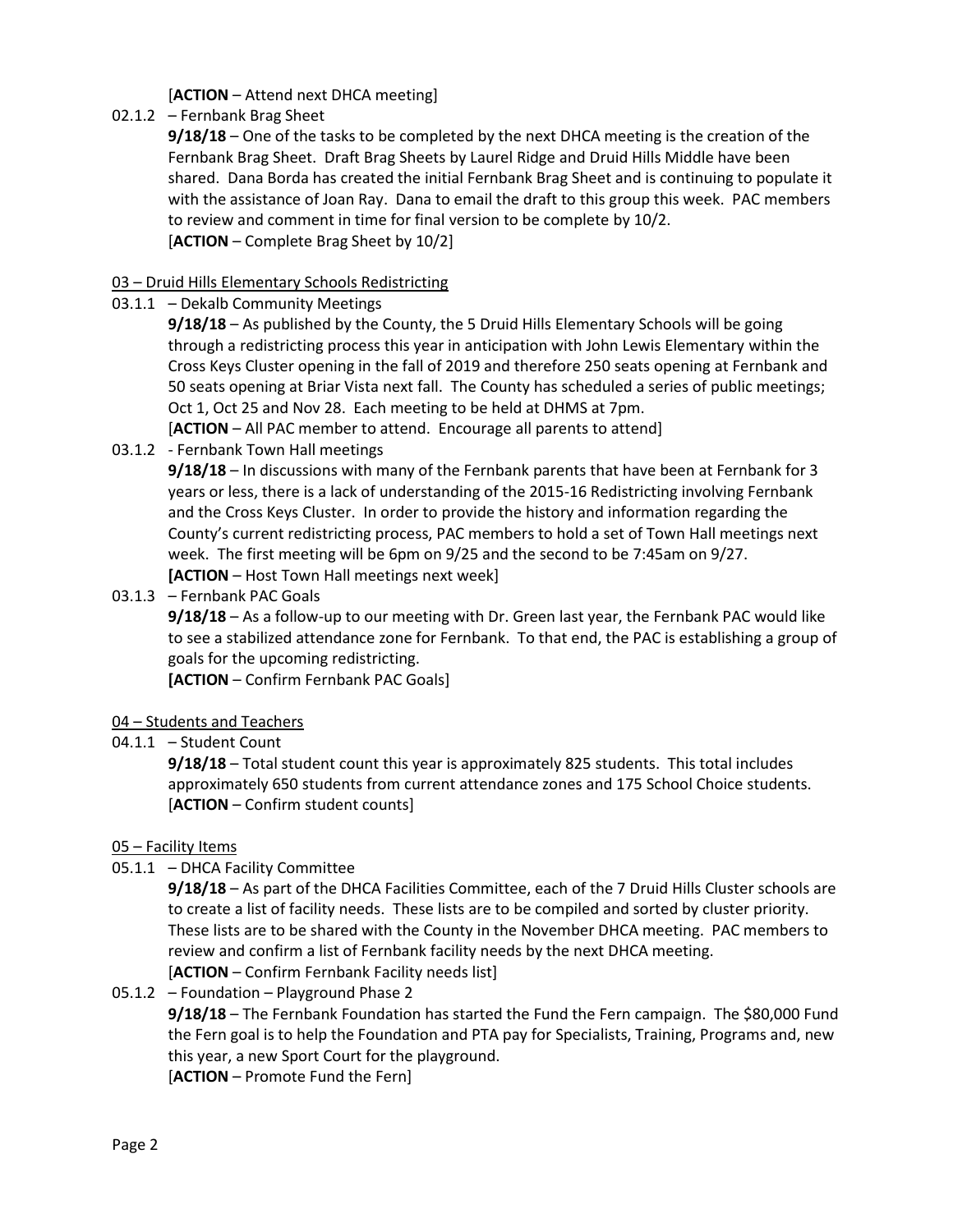## [**ACTION** – Attend next DHCA meeting]

02.1.2 – Fernbank Brag Sheet

**9/18/18** – One of the tasks to be completed by the next DHCA meeting is the creation of the Fernbank Brag Sheet. Draft Brag Sheets by Laurel Ridge and Druid Hills Middle have been shared. Dana Borda has created the initial Fernbank Brag Sheet and is continuing to populate it with the assistance of Joan Ray. Dana to email the draft to this group this week. PAC members to review and comment in time for final version to be complete by 10/2. [**ACTION** – Complete Brag Sheet by 10/2]

### 03 – Druid Hills Elementary Schools Redistricting

03.1.1 – Dekalb Community Meetings

**9/18/18** – As published by the County, the 5 Druid Hills Elementary Schools will be going through a redistricting process this year in anticipation with John Lewis Elementary within the Cross Keys Cluster opening in the fall of 2019 and therefore 250 seats opening at Fernbank and 50 seats opening at Briar Vista next fall. The County has scheduled a series of public meetings; Oct 1, Oct 25 and Nov 28. Each meeting to be held at DHMS at 7pm. [**ACTION** – All PAC member to attend. Encourage all parents to attend]

03.1.2 - Fernbank Town Hall meetings

**9/18/18** – In discussions with many of the Fernbank parents that have been at Fernbank for 3 years or less, there is a lack of understanding of the 2015-16 Redistricting involving Fernbank and the Cross Keys Cluster. In order to provide the history and information regarding the County's current redistricting process, PAC members to hold a set of Town Hall meetings next week. The first meeting will be 6pm on 9/25 and the second to be 7:45am on 9/27. **[ACTION** – Host Town Hall meetings next week]

03.1.3 – Fernbank PAC Goals

**9/18/18** – As a follow-up to our meeting with Dr. Green last year, the Fernbank PAC would like to see a stabilized attendance zone for Fernbank. To that end, the PAC is establishing a group of goals for the upcoming redistricting.

**[ACTION** – Confirm Fernbank PAC Goals]

### 04 – Students and Teachers

04.1.1 – Student Count

**9/18/18** – Total student count this year is approximately 825 students. This total includes approximately 650 students from current attendance zones and 175 School Choice students. [**ACTION** – Confirm student counts]

### 05 – Facility Items

05.1.1 – DHCA Facility Committee

**9/18/18** – As part of the DHCA Facilities Committee, each of the 7 Druid Hills Cluster schools are to create a list of facility needs. These lists are to be compiled and sorted by cluster priority. These lists are to be shared with the County in the November DHCA meeting. PAC members to review and confirm a list of Fernbank facility needs by the next DHCA meeting. [**ACTION** – Confirm Fernbank Facility needs list]

05.1.2 – Foundation – Playground Phase 2 **9/18/18** – The Fernbank Foundation has started the Fund the Fern campaign. The \$80,000 Fund the Fern goal is to help the Foundation and PTA pay for Specialists, Training, Programs and, new this year, a new Sport Court for the playground. [**ACTION** – Promote Fund the Fern]